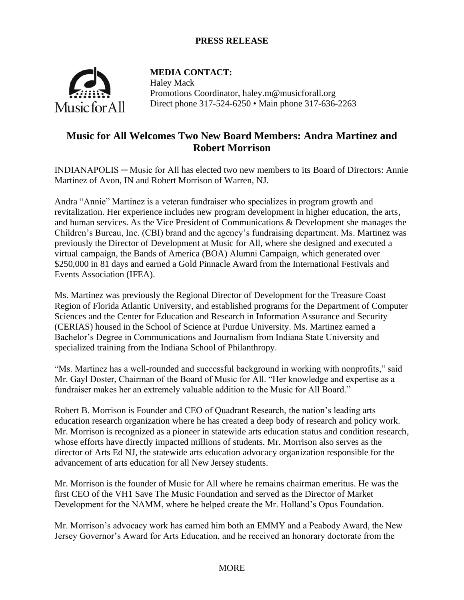# **PRESS RELEASE**



**MEDIA CONTACT:** Haley Mack Promotions Coordinator, haley.m@musicforall.org Direct phone 317-524-6250 • Main phone 317-636-2263

# **Music for All Welcomes Two New Board Members: Andra Martinez and Robert Morrison**

INDIANAPOLIS ─ Music for All has elected two new members to its Board of Directors: Annie Martinez of Avon, IN and Robert Morrison of Warren, NJ.

Andra "Annie" Martinez is a veteran fundraiser who specializes in program growth and revitalization. Her experience includes new program development in higher education, the arts, and human services. As the Vice President of Communications & Development she manages the Children's Bureau, Inc. (CBI) brand and the agency's fundraising department. Ms. Martinez was previously the Director of Development at Music for All, where she designed and executed a virtual campaign, the Bands of America (BOA) Alumni Campaign, which generated over \$250,000 in 81 days and earned a Gold Pinnacle Award from the International Festivals and Events Association (IFEA).

Ms. Martinez was previously the Regional Director of Development for the Treasure Coast Region of Florida Atlantic University, and established programs for the Department of Computer Sciences and the Center for Education and Research in Information Assurance and Security (CERIAS) housed in the School of Science at Purdue University. Ms. Martinez earned a Bachelor's Degree in Communications and Journalism from Indiana State University and specialized training from the Indiana School of Philanthropy.

"Ms. Martinez has a well-rounded and successful background in working with nonprofits," said Mr. Gayl Doster, Chairman of the Board of Music for All. "Her knowledge and expertise as a fundraiser makes her an extremely valuable addition to the Music for All Board."

Robert B. Morrison is Founder and CEO of Quadrant Research, the nation's leading arts education research organization where he has created a deep body of research and policy work. Mr. Morrison is recognized as a pioneer in statewide arts education status and condition research, whose efforts have directly impacted millions of students. Mr. Morrison also serves as the director of Arts Ed NJ, the statewide arts education advocacy organization responsible for the advancement of arts education for all New Jersey students.

Mr. Morrison is the founder of Music for All where he remains chairman emeritus. He was the first CEO of the VH1 Save The Music Foundation and served as the Director of Market Development for the NAMM, where he helped create the Mr. Holland's Opus Foundation.

Mr. Morrison's advocacy work has earned him both an EMMY and a Peabody Award, the New Jersey Governor's Award for Arts Education, and he received an honorary doctorate from the